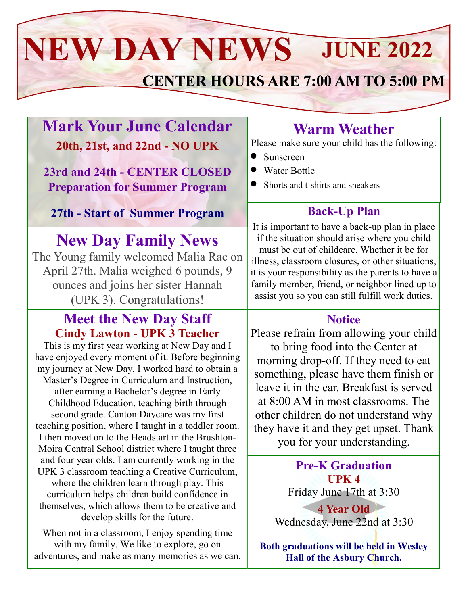# **JUNE 2022 NEW DAY NEWS**

# **CENTER HOURS ARE 7:00 AM TO 5:00 PM**

## **Mark Your June Calendar 20th, 21st, and 22nd - NO UPK**

**23rd and 24th - CENTER CLOSED Preparation for Summer Program**

#### **27th - Start of Summer Program**

## **New Day Family News**

The Young family welcomed Malia Rae on April 27th. Malia weighed 6 pounds, 9 ounces and joins her sister Hannah (UPK 3). Congratulations!

#### **Meet the New Day Staff Cindy Lawton - UPK 3 Teacher**

This is my first year working at New Day and I have enjoyed every moment of it. Before beginning my journey at New Day, I worked hard to obtain a Master's Degree in Curriculum and Instruction, after earning a Bachelor's degree in Early Childhood Education, teaching birth through second grade. Canton Daycare was my first teaching position, where I taught in a toddler room. I then moved on to the Headstart in the Brushton-Moira Central School district where I taught three and four year olds. I am currently working in the UPK 3 classroom teaching a Creative Curriculum, where the children learn through play. This curriculum helps children build confidence in themselves, which allows them to be creative and develop skills for the future.

When not in a classroom, I enjoy spending time with my family. We like to explore, go on adventures, and make as many memories as we can.

## **Warm Weather**

Please make sure your child has the following:

- Sunscreen
- Water Bottle
- Shorts and t-shirts and sneakers

#### **Back-Up Plan**

It is important to have a back-up plan in place if the situation should arise where you child must be out of childcare. Whether it be for illness, classroom closures, or other situations, it is your responsibility as the parents to have a family member, friend, or neighbor lined up to assist you so you can still fulfill work duties.

#### **Notice**

Please refrain from allowing your child to bring food into the Center at morning drop-off. If they need to eat something, please have them finish or leave it in the car. Breakfast is served at 8:00 AM in most classrooms. The other children do not understand why they have it and they get upset. Thank you for your understanding.

> **Pre-K Graduation UPK 4** Friday June 17th at 3:30 **4 Year Old** Wednesday, June 22nd at 3:30

**Both graduations will be held in Wesley Hall of the Asbury Church.**